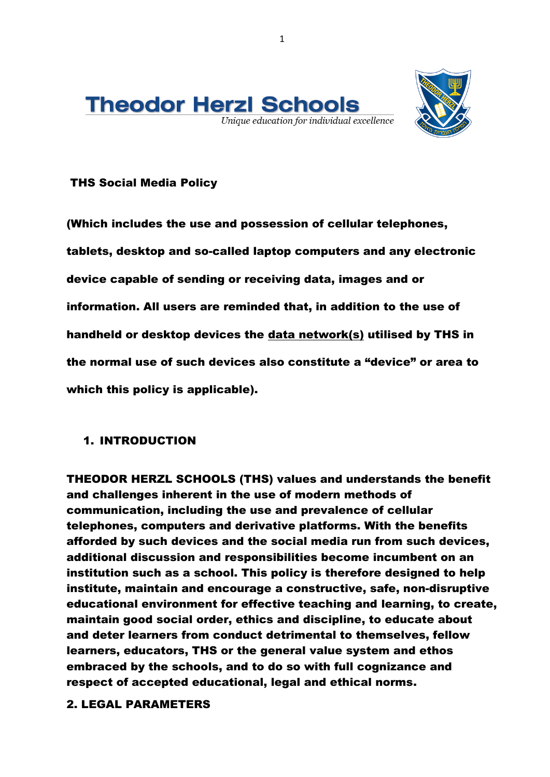



#### THS Social Media Policy

(Which includes the use and possession of cellular telephones, tablets, desktop and so-called laptop computers and any electronic device capable of sending or receiving data, images and or information. All users are reminded that, in addition to the use of handheld or desktop devices the data network(s) utilised by THS in the normal use of such devices also constitute a "device" or area to which this policy is applicable).

# 1. INTRODUCTION

THEODOR HERZL SCHOOLS (THS) values and understands the benefit and challenges inherent in the use of modern methods of communication, including the use and prevalence of cellular telephones, computers and derivative platforms. With the benefits afforded by such devices and the social media run from such devices, additional discussion and responsibilities become incumbent on an institution such as a school. This policy is therefore designed to help institute, maintain and encourage a constructive, safe, non-disruptive educational environment for effective teaching and learning, to create, maintain good social order, ethics and discipline, to educate about and deter learners from conduct detrimental to themselves, fellow learners, educators, THS or the general value system and ethos embraced by the schools, and to do so with full cognizance and respect of accepted educational, legal and ethical norms.

# 2. LEGAL PARAMETERS

1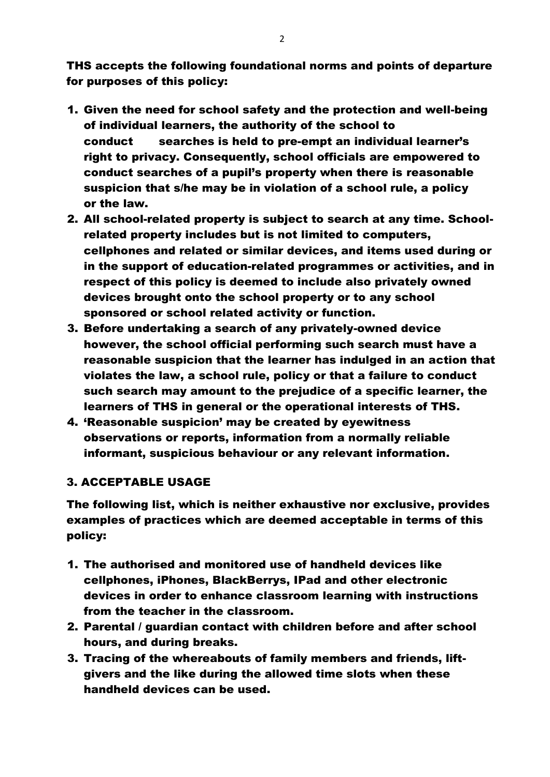THS accepts the following foundational norms and points of departure for purposes of this policy:

- 1. Given the need for school safety and the protection and well-being of individual learners, the authority of the school to conduct searches is held to pre-empt an individual learner's right to privacy. Consequently, school officials are empowered to conduct searches of a pupil's property when there is reasonable suspicion that s/he may be in violation of a school rule, a policy or the law.
- 2. All school-related property is subject to search at any time. Schoolrelated property includes but is not limited to computers, cellphones and related or similar devices, and items used during or in the support of education-related programmes or activities, and in respect of this policy is deemed to include also privately owned devices brought onto the school property or to any school sponsored or school related activity or function.
- 3. Before undertaking a search of any privately-owned device however, the school official performing such search must have a reasonable suspicion that the learner has indulged in an action that violates the law, a school rule, policy or that a failure to conduct such search may amount to the prejudice of a specific learner, the learners of THS in general or the operational interests of THS.
- 4. 'Reasonable suspicion' may be created by eyewitness observations or reports, information from a normally reliable informant, suspicious behaviour or any relevant information.

# 3. ACCEPTABLE USAGE

The following list, which is neither exhaustive nor exclusive, provides examples of practices which are deemed acceptable in terms of this policy:

- 1. The authorised and monitored use of handheld devices like cellphones, iPhones, BlackBerrys, IPad and other electronic devices in order to enhance classroom learning with instructions from the teacher in the classroom.
- 2. Parental / guardian contact with children before and after school hours, and during breaks.
- 3. Tracing of the whereabouts of family members and friends, liftgivers and the like during the allowed time slots when these handheld devices can be used.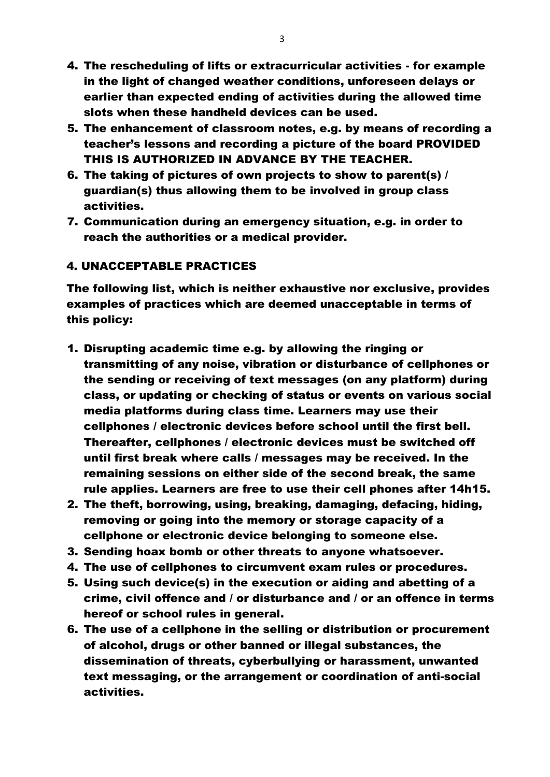- 4. The rescheduling of lifts or extracurricular activities for example in the light of changed weather conditions, unforeseen delays or earlier than expected ending of activities during the allowed time slots when these handheld devices can be used.
- 5. The enhancement of classroom notes, e.g. by means of recording a teacher's lessons and recording a picture of the board PROVIDED THIS IS AUTHORIZED IN ADVANCE BY THE TEACHER.
- 6. The taking of pictures of own projects to show to parent(s) / guardian(s) thus allowing them to be involved in group class activities.
- 7. Communication during an emergency situation, e.g. in order to reach the authorities or a medical provider.

#### 4. UNACCEPTABLE PRACTICES

The following list, which is neither exhaustive nor exclusive, provides examples of practices which are deemed unacceptable in terms of this policy:

- 1. Disrupting academic time e.g. by allowing the ringing or transmitting of any noise, vibration or disturbance of cellphones or the sending or receiving of text messages (on any platform) during class, or updating or checking of status or events on various social media platforms during class time. Learners may use their cellphones / electronic devices before school until the first bell. Thereafter, cellphones / electronic devices must be switched off until first break where calls / messages may be received. In the remaining sessions on either side of the second break, the same rule applies. Learners are free to use their cell phones after 14h15.
- 2. The theft, borrowing, using, breaking, damaging, defacing, hiding, removing or going into the memory or storage capacity of a cellphone or electronic device belonging to someone else.
- 3. Sending hoax bomb or other threats to anyone whatsoever.
- 4. The use of cellphones to circumvent exam rules or procedures.
- 5. Using such device(s) in the execution or aiding and abetting of a crime, civil offence and / or disturbance and / or an offence in terms hereof or school rules in general.
- 6. The use of a cellphone in the selling or distribution or procurement of alcohol, drugs or other banned or illegal substances, the dissemination of threats, cyberbullying or harassment, unwanted text messaging, or the arrangement or coordination of anti-social activities.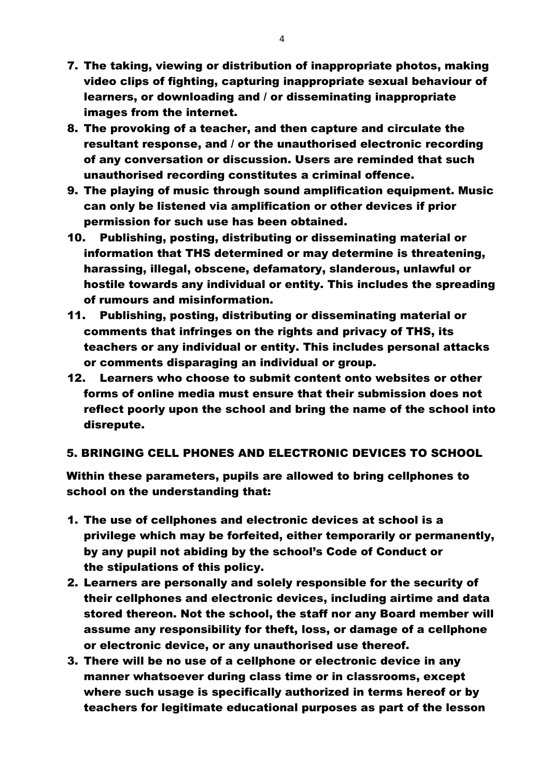- 7. The taking, viewing or distribution of inappropriate photos, making video clips of fighting, capturing inappropriate sexual behaviour of learners, or downloading and / or disseminating inappropriate images from the internet.
- 8. The provoking of a teacher, and then capture and circulate the resultant response, and / or the unauthorised electronic recording of any conversation or discussion. Users are reminded that such unauthorised recording constitutes a criminal offence.
- 9. The playing of music through sound amplification equipment. Music can only be listened via amplification or other devices if prior permission for such use has been obtained.
- 10. Publishing, posting, distributing or disseminating material or information that THS determined or may determine is threatening, harassing, illegal, obscene, defamatory, slanderous, unlawful or hostile towards any individual or entity. This includes the spreading of rumours and misinformation.
- 11. Publishing, posting, distributing or disseminating material or comments that infringes on the rights and privacy of THS, its teachers or any individual or entity. This includes personal attacks or comments disparaging an individual or group.
- 12. Learners who choose to submit content onto websites or other forms of online media must ensure that their submission does not reflect poorly upon the school and bring the name of the school into disrepute.

# 5. BRINGING CELL PHONES AND ELECTRONIC DEVICES TO SCHOOL

Within these parameters, pupils are allowed to bring cellphones to school on the understanding that:

- 1. The use of cellphones and electronic devices at school is a privilege which may be forfeited, either temporarily or permanently, by any pupil not abiding by the school's Code of Conduct or the stipulations of this policy.
- 2. Learners are personally and solely responsible for the security of their cellphones and electronic devices, including airtime and data stored thereon. Not the school, the staff nor any Board member will assume any responsibility for theft, loss, or damage of a cellphone or electronic device, or any unauthorised use thereof.
- 3. There will be no use of a cellphone or electronic device in any manner whatsoever during class time or in classrooms, except where such usage is specifically authorized in terms hereof or by teachers for legitimate educational purposes as part of the lesson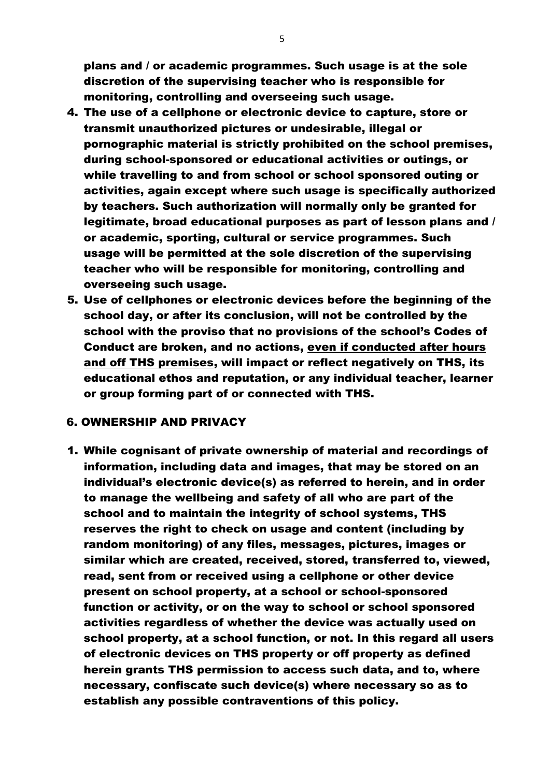plans and / or academic programmes. Such usage is at the sole discretion of the supervising teacher who is responsible for monitoring, controlling and overseeing such usage.

- 4. The use of a cellphone or electronic device to capture, store or transmit unauthorized pictures or undesirable, illegal or pornographic material is strictly prohibited on the school premises, during school-sponsored or educational activities or outings, or while travelling to and from school or school sponsored outing or activities, again except where such usage is specifically authorized by teachers. Such authorization will normally only be granted for legitimate, broad educational purposes as part of lesson plans and / or academic, sporting, cultural or service programmes. Such usage will be permitted at the sole discretion of the supervising teacher who will be responsible for monitoring, controlling and overseeing such usage.
- 5. Use of cellphones or electronic devices before the beginning of the school day, or after its conclusion, will not be controlled by the school with the proviso that no provisions of the school's Codes of Conduct are broken, and no actions, even if conducted after hours and off THS premises, will impact or reflect negatively on THS, its educational ethos and reputation, or any individual teacher, learner or group forming part of or connected with THS.

#### 6. OWNERSHIP AND PRIVACY

1. While cognisant of private ownership of material and recordings of information, including data and images, that may be stored on an individual's electronic device(s) as referred to herein, and in order to manage the wellbeing and safety of all who are part of the school and to maintain the integrity of school systems, THS reserves the right to check on usage and content (including by random monitoring) of any files, messages, pictures, images or similar which are created, received, stored, transferred to, viewed, read, sent from or received using a cellphone or other device present on school property, at a school or school-sponsored function or activity, or on the way to school or school sponsored activities regardless of whether the device was actually used on school property, at a school function, or not. In this regard all users of electronic devices on THS property or off property as defined herein grants THS permission to access such data, and to, where necessary, confiscate such device(s) where necessary so as to establish any possible contraventions of this policy.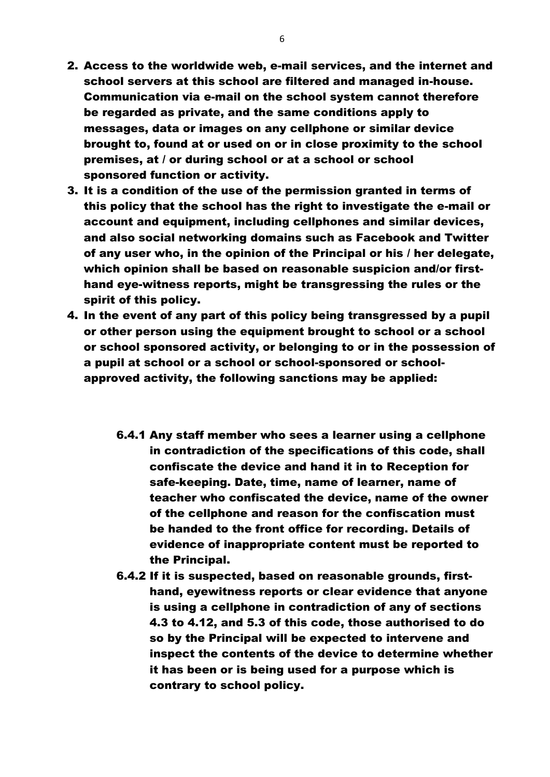- 2. Access to the worldwide web, e-mail services, and the internet and school servers at this school are filtered and managed in-house. Communication via e-mail on the school system cannot therefore be regarded as private, and the same conditions apply to messages, data or images on any cellphone or similar device brought to, found at or used on or in close proximity to the school premises, at / or during school or at a school or school sponsored function or activity.
- 3. It is a condition of the use of the permission granted in terms of this policy that the school has the right to investigate the e-mail or account and equipment, including cellphones and similar devices, and also social networking domains such as Facebook and Twitter of any user who, in the opinion of the Principal or his / her delegate, which opinion shall be based on reasonable suspicion and/or firsthand eye-witness reports, might be transgressing the rules or the spirit of this policy.
- 4. In the event of any part of this policy being transgressed by a pupil or other person using the equipment brought to school or a school or school sponsored activity, or belonging to or in the possession of a pupil at school or a school or school-sponsored or schoolapproved activity, the following sanctions may be applied:
	- 6.4.1 Any staff member who sees a learner using a cellphone in contradiction of the specifications of this code, shall confiscate the device and hand it in to Reception for safe-keeping. Date, time, name of learner, name of teacher who confiscated the device, name of the owner of the cellphone and reason for the confiscation must be handed to the front office for recording. Details of evidence of inappropriate content must be reported to the Principal.
	- 6.4.2 If it is suspected, based on reasonable grounds, firsthand, eyewitness reports or clear evidence that anyone is using a cellphone in contradiction of any of sections 4.3 to 4.12, and 5.3 of this code, those authorised to do so by the Principal will be expected to intervene and inspect the contents of the device to determine whether it has been or is being used for a purpose which is contrary to school policy.